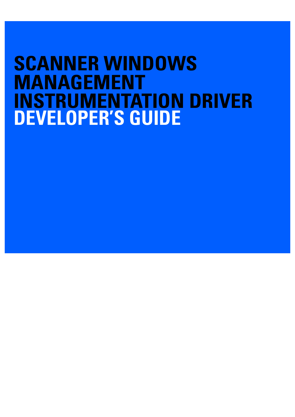# **SCANNER WINDOWS MANAGEMENT INSTRUMENTATION DRIVER DEVELOPER'S GUIDE**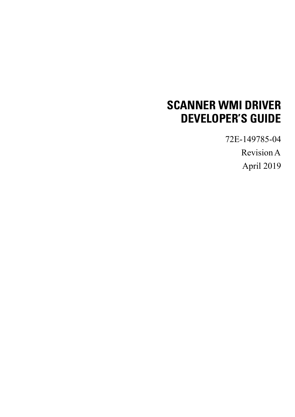## **SCANNER WMI DRIVER DEVELOPER'S GUIDE**

72E-149785-04

Revision A

April 2019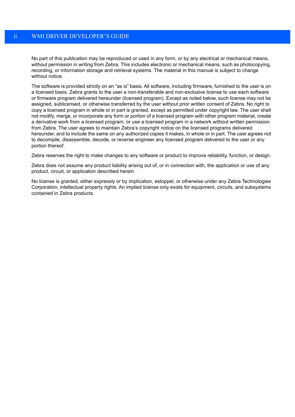No part of this publication may be reproduced or used in any form, or by any electrical or mechanical means, without permission in writing from Zebra. This includes electronic or mechanical means, such as photocopying, recording, or information storage and retrieval systems. The material in this manual is subject to change without notice.

The software is provided strictly on an "as is" basis. All software, including firmware, furnished to the user is on a licensed basis. Zebra grants to the user a non-transferable and non-exclusive license to use each software or firmware program delivered hereunder (licensed program). Except as noted below, such license may not be assigned, sublicensed, or otherwise transferred by the user without prior written consent of Zebra. No right to copy a licensed program in whole or in part is granted, except as permitted under copyright law. The user shall not modify, merge, or incorporate any form or portion of a licensed program with other program material, create a derivative work from a licensed program, or use a licensed program in a network without written permission from Zebra. The user agrees to maintain Zebra's copyright notice on the licensed programs delivered hereunder, and to include the same on any authorized copies it makes, in whole or in part. The user agrees not to decompile, disassemble, decode, or reverse engineer any licensed program delivered to the user or any portion thereof.

Zebra reserves the right to make changes to any software or product to improve reliability, function, or design.

Zebra does not assume any product liability arising out of, or in connection with, the application or use of any product, circuit, or application described herein.

No license is granted, either expressly or by implication, estoppel, or otherwise under any Zebra Technologies Corporation, intellectual property rights. An implied license only exists for equipment, circuits, and subsystems contained in Zebra products.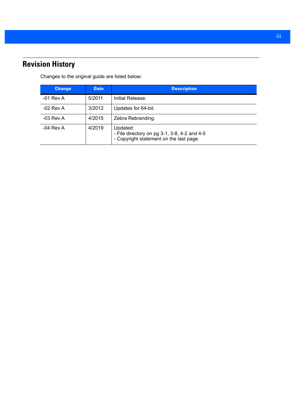## <span id="page-4-0"></span>**Revision History**

Changes to the original guide are listed below:

| <b>Change</b> | <b>Date</b> | <b>Description</b>                                                                                  |
|---------------|-------------|-----------------------------------------------------------------------------------------------------|
| $-01$ Rev A   | 5/2011      | Initial Release.                                                                                    |
| $-02$ Rev A   | 3/2012      | Updates for 64-bit.                                                                                 |
| $-03$ Rev A   | 4/2015      | Zebra Rebranding.                                                                                   |
| $-04$ Rev A   | 4/2019      | Updated:<br>- File directory on pg 3-1, 3-8, 4-2 and 4-5<br>- Copyright statement on the last page. |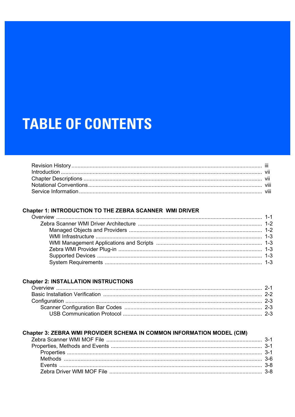# **TABLE OF CONTENTS**

## Chapter 1: INTRODUCTION TO THE ZEBRA SCANNER WMI DRIVER

#### **Chapter 2: INSTALLATION INSTRUCTIONS**

#### Chapter 3: ZEBRA WMI PROVIDER SCHEMA IN COMMON INFORMATION MODEL (CIM)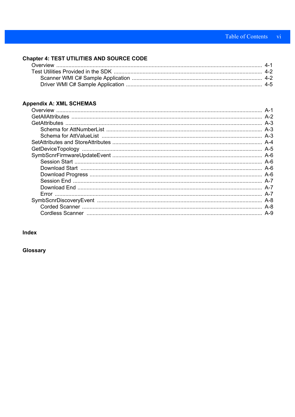## **Chapter 4: TEST UTILITIES AND SOURCE CODE**

## Appendix A: XML SCHEMAS

#### Index

Glossary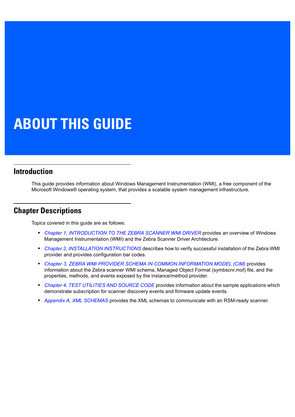# **ABOUT THIS GUIDE**

### <span id="page-8-0"></span>**[Introduction](#page-8-0)**

This guide provides information about Windows Management Instrumentation (WMI), a free component of the Microsoft Windows® operating system, that provides a scalable system management infrastructure.

## <span id="page-8-1"></span>**Chapter Descriptions**

Topics covered in this guide are as follows:

- **•** *[Chapter 1, INTRODUCTION TO THE ZEBRA SCANNER WMI DRIVER](#page-10-2)* provides an overview of Windows Management Instrumentation (WMI) and the Zebra Scanner Driver Architecture.
- **•** *[Chapter 2, INSTALLATION INSTRUCTIONS](#page-14-2)* describes how to verify successful installation of the Zebra WMI provider and provides configuration bar codes.
- **•** *[Chapter 3, ZEBRA WMI PROVIDER SCHEMA IN COMMON INFORMATION MODEL \(CIM\)](#page-18-4)* provides information about the Zebra scanner WMI schema, Managed Object Format (symbscnr.mof) file, and the properties, methods, and events exposed by the instance/method provider.
- **•** *[Chapter 4, TEST UTILITIES AND SOURCE CODE](#page-28-2)* provides information about the sample applications which demonstrate subscription for scanner discovery events and firmware update events.
- **•** *[Appendix A, XML SCHEMAS](#page-34-2)* provides the XML schemas to communicate with an RSM-ready scanner.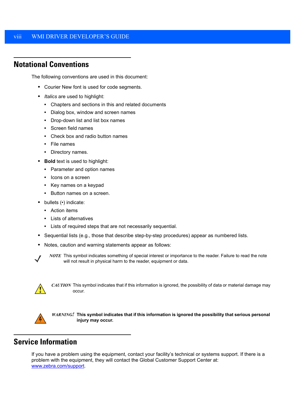## <span id="page-9-0"></span>**Notational Conventions**

<span id="page-9-4"></span>The following conventions are used in this document:

- <span id="page-9-7"></span><span id="page-9-5"></span>**•** Courier New font is used for code segments.
- **•** *Italics* are used to highlight:
	- **•** Chapters and sections in this and related documents
	- **•** Dialog box, window and screen names
	- **•** Drop-down list and list box names
	- **•** Screen field names
	- **•** Check box and radio button names
	- **•** File names
	- **•** Directory names.
- <span id="page-9-2"></span>**• Bold** text is used to highlight:
	- **•** Parameter and option names
	- **•** Icons on a screen
	- **•** Key names on a keypad
	- **•** Button names on a screen.
- <span id="page-9-3"></span>**•** bullets (•) indicate:
	- **•** Action items
	- **•** Lists of alternatives
	- **•** Lists of required steps that are not necessarily sequential.
- **•** Sequential lists (e.g., those that describe step-by-step procedures) appear as numbered lists.
- **•** Notes, caution and warning statements appear as follows:



*NOTE* This symbol indicates something of special interest or importance to the reader. Failure to read the note will not result in physical harm to the reader, equipment or data.



*CAUTION* This symbol indicates that if this information is ignored, the possibility of data or material damage may occur.

<span id="page-9-6"></span>

*WARNING!* **This symbol indicates that if this information is ignored the possibility that serious personal injury may occur.**

## <span id="page-9-1"></span>**Service Information**

[If you have a problem using the equipment, contact your facility's technical or systems support. If there is a](www.zebra.com/support)  problem with the equipment, they will contact the Global Customer Support Center at: www.zebra.com/support.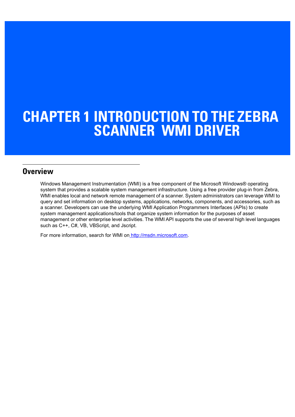## <span id="page-10-2"></span><span id="page-10-0"></span>**CHAPTER 1 INTRODUCTION TO THE ZEBRA SCANNER WMI DRIVER**

## <span id="page-10-1"></span>**Overview**

<span id="page-10-3"></span>Windows Management Instrumentation (WMI) is a free component of the Microsoft Windows® operating system that provides a scalable system management infrastructure. Using a free provider plug-in from Zebra, WMI enables local and network remote management of a scanner. System administrators can leverage WMI to query and set information on desktop systems, applications, networks, components, and accessories, such as a scanner. Developers can use the underlying WMI Application Programmers Interfaces (APIs) to create system management applications/tools that organize system information for the purposes of asset management or other enterprise level activities. The WMI API supports the use of several high level languages such as C++, C#, VB, VBScript, and Jscript.

For more information, search for WMI on [http://msdn.microsoft.com.](http://msdn.microsoft.com)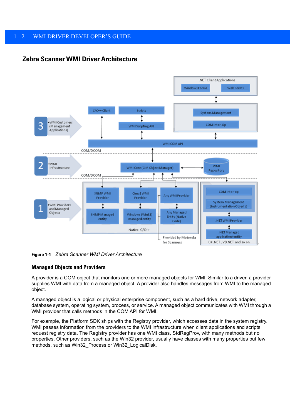#### <span id="page-11-0"></span>**Zebra Scanner WMI Driver Architecture**

<span id="page-11-2"></span>

**Figure 1-1** *Zebra Scanner WMI Driver Architecture*

#### <span id="page-11-1"></span>**Managed Objects and Providers**

A provider is a COM object that monitors one or more managed objects for WMI. Similar to a driver, a provider supplies WMI with data from a managed object. A provider also handles messages from WMI to the managed object.

A managed object is a logical or physical enterprise component, such as a hard drive, network adapter, database system, operating system, process, or service. A managed object communicates with WMI through a WMI provider that calls methods in the COM API for WMI.

For example, the Platform SDK ships with the Registry provider, which accesses data in the system registry. WMI passes information from the providers to the WMI infrastructure when client applications and scripts request registry data. The Registry provider has one WMI class, StdRegProv, with many methods but no properties. Other providers, such as the Win32 provider, usually have classes with many properties but few methods, such as Win32\_Process or Win32\_LogicalDisk.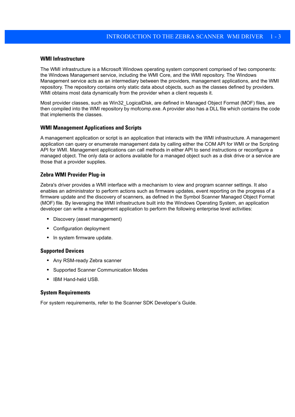#### <span id="page-12-8"></span><span id="page-12-0"></span>**WMI Infrastructure**

<span id="page-12-9"></span><span id="page-12-7"></span>The WMI infrastructure is a Microsoft Windows operating system component comprised of two components: the Windows Management service, including the WMI Core, and the WMI repository. The Windows Management service acts as an intermediary between the providers, management applications, and the WMI repository. The repository contains only static data about objects, such as the classes defined by providers. WMI obtains most data dynamically from the provider when a client requests it.

Most provider classes, such as Win32\_LogicalDisk, are defined in Managed Object Format (MOF) files, are then compiled into the WMI repository by mofcomp.exe. A provider also has a DLL file which contains the code that implements the classes.

#### <span id="page-12-1"></span>**WMI Management Applications and Scripts**

A management application or script is an application that interacts with the WMI infrastructure. A management application can query or enumerate management data by calling either the COM API for WMI or the Scripting API for WMI. Management applications can call methods in either API to send instructions or reconfigure a managed object. The only data or actions available for a managed object such as a disk drive or a service are those that a provider supplies.

#### <span id="page-12-6"></span><span id="page-12-2"></span>**Zebra WMI Provider Plug-in**

Zebra's driver provides a WMI interface with a mechanism to view and program scanner settings. It also enables an administrator to perform actions such as firmware updates, event reporting on the progress of a firmware update and the discovery of scanners, as defined in the Symbol Scanner Managed Object Format (MOF) file. By leveraging the WMI infrastructure built into the Windows Operating System, an application developer can write a management application to perform the following enterprise level activities:

- <span id="page-12-5"></span>**•** Discovery (asset management)
- **•** Configuration deployment
- **•** In system firmware update.

#### <span id="page-12-3"></span>**Supported Devices**

- **•** Any RSM-ready Zebra scanner
- **•** Supported Scanner Communication Modes
- **•** IBM Hand-held USB.

#### <span id="page-12-4"></span>**System Requirements**

For system requirements, refer to the Scanner SDK Developer's Guide.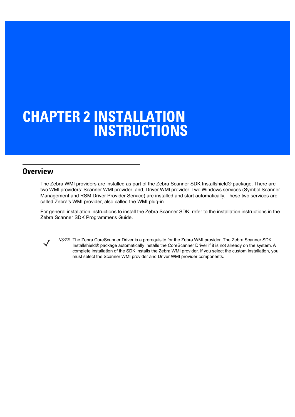## <span id="page-14-2"></span><span id="page-14-0"></span>**CHAPTER 2 INSTALLATION INSTRUCTIONS**

## <span id="page-14-1"></span>**Overview**

<span id="page-14-9"></span><span id="page-14-8"></span><span id="page-14-3"></span>The Zebra WMI providers are installed as part of the Zebra Scanner SDK Installshield® package. There are two WMI providers: Scanner WMI provider; and, Driver WMI provider. Two Windows services (Symbol Scanner Management and RSM Driver Provider Service) are installed and start automatically. These two services are called Zebra's WMI provider, also called the WMI plug-in.

For general installation instructions to install the Zebra Scanner SDK, refer to the installation instructions in the Zebra Scanner SDK Programmer's Guide.



<span id="page-14-7"></span><span id="page-14-6"></span><span id="page-14-5"></span><span id="page-14-4"></span>*NOTE* The Zebra CoreScanner Driver is a prerequisite for the Zebra WMI provider. The Zebra Scanner SDK Installshield® package automatically installs the CoreScanner Driver if it is not already on the system. A complete installation of the SDK installs the Zebra WMI provider. If you select the custom installation, you must select the Scanner WMI provider and Driver WMI provider components.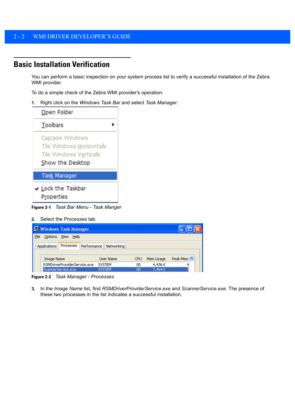## <span id="page-15-0"></span>**Basic Installation Verification**

<span id="page-15-1"></span>You can perform a basic inspection on your system process list to verify a successful installation of the Zebra WMI provider.

To do a simple check of the Zebra WMI provider's operation:

**1.** Right click on the *Windows Task Bar* and select *Task Manager*.

| Open Folder                                                                                 |
|---------------------------------------------------------------------------------------------|
| <b>Toolbars</b>                                                                             |
| Cascade Windows<br>Tile Windows Horizontally<br>Tile Windows Vertically<br>Show the Desktop |
| <b>Task Manager</b>                                                                         |
| ✔ Lock the Taskbar<br>Properties                                                            |

**Figure 2-1** *Task Bar Menu - Task Manger*

**2.** Select the *Processes* tab.

| <b>E</b> Windows Task Manager   |                           |                   |            |
|---------------------------------|---------------------------|-------------------|------------|
| File<br>Options<br>View<br>Help |                           |                   |            |
| Processes<br>Applications       | Performance<br>Networking |                   |            |
| Image Name                      | <b>User Name</b>          | Mem Usage<br>CPU. | Peak Mem ^ |
| RSMDriverProviderService.exe    | <b>SYSTEM</b>             | 4,436K<br>OO.     |            |
| ScannerService.exe              | <b>SYSTEM</b>             | 7,464K<br>00      |            |

**Figure 2-2** *Task Manager - Processes*

**3.** In the *Image Name* list, find *RSMDriverProviderService.exe* and *ScannerService.exe*. The presence of these two processes in the list indicates a successful installation.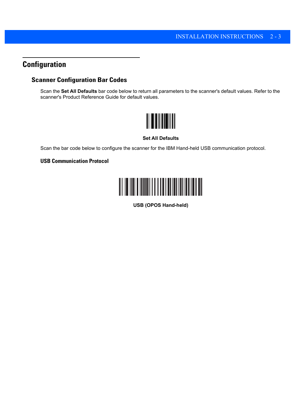## <span id="page-16-0"></span>**Configuration**

### <span id="page-16-1"></span>**Scanner Configuration Bar Codes**

Scan the **Set All Defaults** bar code below to return all parameters to the scanner's default values. Refer to the scanner's Product Reference Guide for default values.



#### **Set All Defaults**

Scan the bar code below to configure the scanner for the IBM Hand-held USB communication protocol.

#### <span id="page-16-2"></span>**USB Communication Protocol**



**USB (OPOS Hand-held)**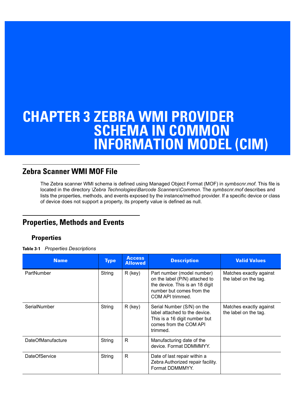## <span id="page-18-4"></span><span id="page-18-0"></span>**CHAPTER 3 ZEBRA WMI PROVIDER SCHEMA IN COMMON INFORMATION MODEL (CIM)**

## <span id="page-18-1"></span>**Zebra Scanner WMI MOF File**

<span id="page-18-7"></span>The Zebra scanner WMI schema is defined using Managed Object Format (MOF) in *symbscnr.mof*. This file is located in the directory *\Zebra Technologies\Barcode Scanners\Common*. The *symbscnr.mof* describes and lists the properties, methods, and events exposed by the instance/method provider. If a specific device or class of device does not support a property, its property value is defined as null.

## <span id="page-18-2"></span>**Properties, Methods and Events**

### <span id="page-18-3"></span>**Properties**

**Table 3-1** *Properties Descriptions*

<span id="page-18-9"></span><span id="page-18-8"></span><span id="page-18-6"></span><span id="page-18-5"></span>

| <b>Name</b>              | <b>Type</b> | <b>Access</b><br><b>Allowed</b> | <b>Description</b>                                                                                                                               | <b>Valid Values</b>                              |
|--------------------------|-------------|---------------------------------|--------------------------------------------------------------------------------------------------------------------------------------------------|--------------------------------------------------|
| PartNumber               | String      | $R$ (key)                       | Part number (model number)<br>on the label (P/N) attached to<br>the device. This is an 18 digit<br>number but comes from the<br>COM API trimmed. | Matches exactly against<br>the label on the tag. |
| SerialNumber             | String      | $R$ (key)                       | Serial Number (S/N) on the<br>label attached to the device.<br>This is a 16 digit number but<br>comes from the COM API<br>trimmed.               | Matches exactly against<br>the label on the tag. |
| <b>DateOfManufacture</b> | String      | R                               | Manufacturing date of the<br>device. Format DDMMMYY.                                                                                             |                                                  |
| DateOfService            | String      | R                               | Date of last repair within a<br>Zebra Authorized repair facility.<br>Format DDMMMYY.                                                             |                                                  |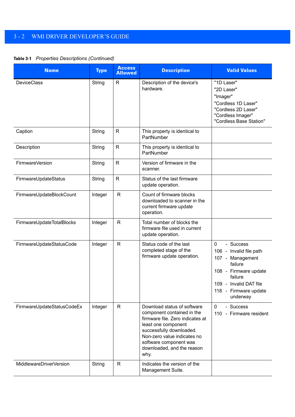#### **Table 3-1** *Properties Descriptions (Continued)*

<span id="page-19-9"></span><span id="page-19-8"></span><span id="page-19-7"></span><span id="page-19-6"></span><span id="page-19-5"></span><span id="page-19-4"></span><span id="page-19-3"></span><span id="page-19-2"></span><span id="page-19-1"></span><span id="page-19-0"></span>

| <b>Name</b>                | <b>Type</b> | <b>Access</b><br><b>Allowed</b> | <b>Description</b>                                                                                                                                                                                                                              | <b>Valid Values</b>                                                                                                                                                                   |
|----------------------------|-------------|---------------------------------|-------------------------------------------------------------------------------------------------------------------------------------------------------------------------------------------------------------------------------------------------|---------------------------------------------------------------------------------------------------------------------------------------------------------------------------------------|
| <b>DeviceClass</b>         | String      | $\mathsf{R}$                    | Description of the device's<br>hardware.                                                                                                                                                                                                        | "1D Laser"<br>"2D Laser"<br>"Imager"<br>"Cordless 1D Laser"<br>"Cordless 2D Laser"<br>"Cordless Imager"<br>"Cordless Base Station"                                                    |
| Caption                    | String      | $\mathsf{R}$                    | This property is identical to<br>PartNumber                                                                                                                                                                                                     |                                                                                                                                                                                       |
| Description                | String      | $\mathsf R$                     | This property is identical to<br>PartNumber                                                                                                                                                                                                     |                                                                                                                                                                                       |
| FirmwareVersion            | String      | $\mathsf{R}$                    | Version of firmware in the<br>scanner.                                                                                                                                                                                                          |                                                                                                                                                                                       |
| FirmwareUpdateStatus       | String      | $\mathsf{R}$                    | Status of the last firmware<br>update operation.                                                                                                                                                                                                |                                                                                                                                                                                       |
| FirmwareUpdateBlockCount   | Integer     | $\mathsf R$                     | Count of firmware blocks<br>downloaded to scanner in the<br>current firmware update<br>operation.                                                                                                                                               |                                                                                                                                                                                       |
| FirmwareUpdateTotalBlocks  | Integer     | $\mathsf{R}$                    | Total number of blocks the<br>firmware file used in current<br>update operation.                                                                                                                                                                |                                                                                                                                                                                       |
| FirmwareUpdateStatusCode   | Integer     | $\mathsf{R}$                    | Status code of the last<br>completed stage of the<br>firmware update operation.                                                                                                                                                                 | $\mathbf 0$<br>- Success<br>106 - Invalid file path<br>107 - Management<br>failure<br>108 - Firmware update<br>failure<br>109 - Invalid DAT file<br>118 - Firmware update<br>underway |
| FirmwareUpdateStatusCodeEx | Integer     | $\mathsf{R}$                    | Download status of software<br>component contained in the<br>firmware file. Zero indicates at<br>least one component<br>successfully downloaded.<br>Non-zero value indicates no<br>software component was<br>downloaded, and the reason<br>why. | - Success<br>$\mathbf{0}$<br>110 - Firmware resident                                                                                                                                  |
| MiddlewareDriverVersion    | String      | $\mathsf{R}$                    | Indicates the version of the<br>Management Suite.                                                                                                                                                                                               |                                                                                                                                                                                       |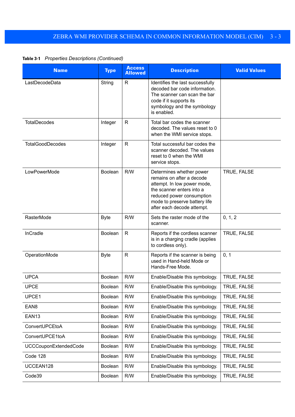**Table 3-1** *Properties Descriptions (Continued)*

<span id="page-20-17"></span><span id="page-20-16"></span><span id="page-20-15"></span><span id="page-20-14"></span><span id="page-20-13"></span><span id="page-20-12"></span><span id="page-20-11"></span><span id="page-20-10"></span><span id="page-20-9"></span><span id="page-20-8"></span><span id="page-20-7"></span><span id="page-20-6"></span><span id="page-20-5"></span><span id="page-20-4"></span><span id="page-20-3"></span><span id="page-20-2"></span><span id="page-20-1"></span><span id="page-20-0"></span>

| <b>Name</b>             | <b>Type</b> | <b>Access</b><br><b>Allowed</b> | <b>Description</b>                                                                                                                                                                                            | <b>Valid Values</b> |
|-------------------------|-------------|---------------------------------|---------------------------------------------------------------------------------------------------------------------------------------------------------------------------------------------------------------|---------------------|
| LastDecodeData          | String      | R                               | Identifies the last successfully<br>decoded bar code information.<br>The scanner can scan the bar<br>code if it supports its<br>symbology and the symbology<br>is enabled.                                    |                     |
| <b>TotalDecodes</b>     | Integer     | R                               | Total bar codes the scanner<br>decoded. The values reset to 0<br>when the WMI service stops.                                                                                                                  |                     |
| <b>TotalGoodDecodes</b> | Integer     | $\mathsf{R}$                    | Total successful bar codes the<br>scanner decoded. The values<br>reset to 0 when the WMI<br>service stops.                                                                                                    |                     |
| LowPowerMode            | Boolean     | R/W                             | Determines whether power<br>remains on after a decode<br>attempt. In low power mode,<br>the scanner enters into a<br>reduced power consumption<br>mode to preserve battery life<br>after each decode attempt. | TRUE, FALSE         |
| RasterMode              | <b>Byte</b> | R/W                             | Sets the raster mode of the<br>scanner.                                                                                                                                                                       | 0, 1, 2             |
| InCradle                | Boolean     | $\mathsf{R}$                    | Reports if the cordless scanner<br>is in a charging cradle (applies<br>to cordless only).                                                                                                                     | TRUE, FALSE         |
| OperationMode           | <b>Byte</b> | $\mathsf{R}$                    | Reports if the scanner is being<br>used in Hand-held Mode or<br>Hands-Free Mode.                                                                                                                              | 0, 1                |
| <b>UPCA</b>             | Boolean     | R/W                             | Enable/Disable this symbology.                                                                                                                                                                                | TRUE, FALSE         |
| <b>UPCE</b>             | Boolean     | R/W                             | Enable/Disable this symbology.                                                                                                                                                                                | TRUE, FALSE         |
| UPCE1                   | Boolean     | R/W                             | Enable/Disable this symbology.                                                                                                                                                                                | TRUE, FALSE         |
| EAN <sub>8</sub>        | Boolean     | R/W                             | Enable/Disable this symbology.                                                                                                                                                                                | TRUE, FALSE         |
| <b>EAN13</b>            | Boolean     | R/W                             | Enable/Disable this symbology.                                                                                                                                                                                | TRUE, FALSE         |
| ConvertUPCEtoA          | Boolean     | R/W                             | Enable/Disable this symbology.                                                                                                                                                                                | TRUE, FALSE         |
| ConvertUPCE1toA         | Boolean     | R/W                             | Enable/Disable this symbology.                                                                                                                                                                                | TRUE, FALSE         |
| UCCCouponExtendedCode   | Boolean     | R/W                             | Enable/Disable this symbology.                                                                                                                                                                                | TRUE, FALSE         |
| Code 128                | Boolean     | R/W                             | Enable/Disable this symbology.                                                                                                                                                                                | TRUE, FALSE         |
| UCCEAN128               | Boolean     | R/W                             | Enable/Disable this symbology.                                                                                                                                                                                | TRUE, FALSE         |
| Code39                  | Boolean     | R/W                             | Enable/Disable this symbology.                                                                                                                                                                                | TRUE, FALSE         |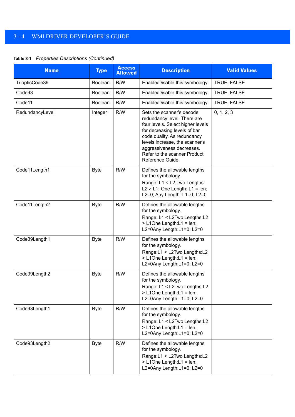<span id="page-21-9"></span><span id="page-21-8"></span><span id="page-21-7"></span><span id="page-21-6"></span><span id="page-21-5"></span><span id="page-21-4"></span><span id="page-21-3"></span><span id="page-21-2"></span><span id="page-21-1"></span><span id="page-21-0"></span>

| <b>Name</b>     | <b>Type</b>    | <b>Access</b><br><b>Allowed</b> | <b>Description</b>                                                                                                                                                                                                                                                              | <b>Valid Values</b> |
|-----------------|----------------|---------------------------------|---------------------------------------------------------------------------------------------------------------------------------------------------------------------------------------------------------------------------------------------------------------------------------|---------------------|
| TriopticCode39  | <b>Boolean</b> | R/W                             | Enable/Disable this symbology.                                                                                                                                                                                                                                                  | TRUE, FALSE         |
| Code93          | Boolean        | R/W                             | Enable/Disable this symbology.                                                                                                                                                                                                                                                  | TRUE, FALSE         |
| Code11          | <b>Boolean</b> | R/W                             | Enable/Disable this symbology.                                                                                                                                                                                                                                                  | TRUE, FALSE         |
| RedundancyLevel | Integer        | R/W                             | Sets the scanner's decode<br>redundancy level. There are<br>four levels. Select higher levels<br>for decreasing levels of bar<br>code quality. As redundancy<br>levels increase, the scanner's<br>aggressiveness decreases.<br>Refer to the scanner Product<br>Reference Guide. | 0, 1, 2, 3          |
| Code11Length1   | <b>Byte</b>    | R/W                             | Defines the allowable lengths<br>for the symbology.<br>Range: L1 < L2; Two Lengths:<br>$L2 > L1$ ; One Length: $L1 = len$ ;<br>L2=0; Any Length: L1=0; L2=0                                                                                                                     |                     |
| Code11Length2   | <b>Byte</b>    | R/W                             | Defines the allowable lengths<br>for the symbology.<br>Range: L1 < L2Two Lengths: L2<br>> L1One Length:L1 = len;<br>L2=0Any Length:L1=0; L2=0                                                                                                                                   |                     |
| Code39Length1   | <b>Byte</b>    | R/W                             | Defines the allowable lengths<br>for the symbology.<br>Range:L1 < L2Two Lengths:L2<br>> L1One Length:L1 = len;<br>L2=0Any Length:L1=0; L2=0                                                                                                                                     |                     |
| Code39Length2   | <b>Byte</b>    | R/W                             | Defines the allowable lengths<br>for the symbology.<br>Range: L1 < L2Two Lengths: L2<br>> L1One Length:L1 = len;<br>L2=0Any Length:L1=0; L2=0                                                                                                                                   |                     |
| Code93Length1   | <b>Byte</b>    | R/W                             | Defines the allowable lengths<br>for the symbology.<br>Range: L1 < L2Two Lengths: L2<br>> L1One Length:L1 = len;<br>L2=0Any Length:L1=0; L2=0                                                                                                                                   |                     |
| Code93Length2   | <b>Byte</b>    | R/W                             | Defines the allowable lengths<br>for the symbology.<br>Range:L1 < L2Two Lengths:L2<br>> L1One Length:L1 = len;<br>L2=0Any Length:L1=0; L2=0                                                                                                                                     |                     |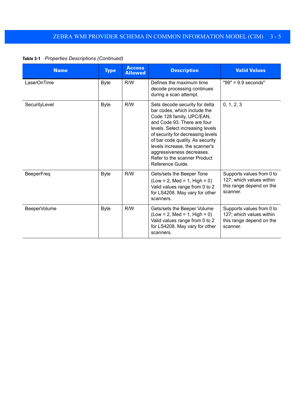**Table 3-1** *Properties Descriptions (Continued)*

<span id="page-22-3"></span><span id="page-22-2"></span><span id="page-22-1"></span><span id="page-22-0"></span>

| <b>Name</b>       | <b>Type</b> | <b>Access</b><br><b>Allowed</b> | <b>Description</b>                                                                                                                                                                                                                                                                                                                                         | <b>Valid Values</b>                                                                           |
|-------------------|-------------|---------------------------------|------------------------------------------------------------------------------------------------------------------------------------------------------------------------------------------------------------------------------------------------------------------------------------------------------------------------------------------------------------|-----------------------------------------------------------------------------------------------|
| LaserOnTime       | <b>Byte</b> | R/W                             | Defines the maximum time<br>decode processing continues<br>during a scan attempt.                                                                                                                                                                                                                                                                          | $"99" = 9.9$ seconds"                                                                         |
| SecurityLevel     | <b>Byte</b> | R/W                             | Sets decode security for delta<br>bar codes, which include the<br>Code 128 family, UPC/EAN,<br>and Code 93. There are four<br>levels. Select increasing levels<br>of security for decreasing levels<br>of bar code quality. As security<br>levels increase, the scanner's<br>aggressiveness decreases.<br>Refer to the scanner Product<br>Reference Guide. | 0, 1, 2, 3                                                                                    |
| <b>BeeperFreq</b> | <b>Byte</b> | R/W                             | Gets/sets the Beeper Tone<br>$(Low = 2, Med = 1, High = 0)$<br>Valid values range from 0 to 2<br>for LS4208. May vary for other<br>scanners.                                                                                                                                                                                                               | Supports values from 0 to<br>127; which values within<br>this range depend on the<br>scanner. |
| BeeperVolume      | <b>Byte</b> | R/W                             | Gets/sets the Beeper Volume<br>$(Low = 2, Med = 1, High = 0)$<br>Valid values range from 0 to 2<br>for LS4208. May vary for other<br>scanners.                                                                                                                                                                                                             | Supports values from 0 to<br>127; which values within<br>this range depend on the<br>scanner. |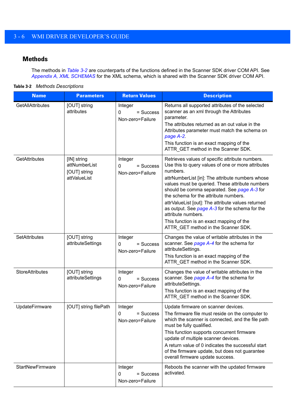#### <span id="page-23-0"></span>**Methods**

The methods in *[Table 3-2](#page-23-1)* are counterparts of the functions defined in the Scanner SDK driver COM API. See *[Appendix A, XML SCHEMAS](#page-34-2)* for the XML schema, which is shared with the Scanner SDK driver COM API.

<span id="page-23-1"></span>

| Table 3-2 | <b>Methods Descriptions</b> |
|-----------|-----------------------------|
|-----------|-----------------------------|

<span id="page-23-7"></span><span id="page-23-6"></span><span id="page-23-5"></span><span id="page-23-4"></span><span id="page-23-3"></span><span id="page-23-2"></span>

| <b>Name</b>             | <b>Parameters</b>                                            | <b>Return Values</b>                            | <b>Description</b>                                                                                                                                                                                                                                                                                                                                                                                                                                                                                                                |
|-------------------------|--------------------------------------------------------------|-------------------------------------------------|-----------------------------------------------------------------------------------------------------------------------------------------------------------------------------------------------------------------------------------------------------------------------------------------------------------------------------------------------------------------------------------------------------------------------------------------------------------------------------------------------------------------------------------|
| <b>GetAllAttributes</b> | [OUT] string<br>attributes                                   | Integer<br>= Success<br>0<br>Non-zero=Failure   | Returns all supported attributes of the selected<br>scanner as an xml through the Attributes<br>parameter.<br>The attributes returned as an out value in the<br>Attributes parameter must match the schema on<br>page A-2.<br>This function is an exact mapping of the<br>ATTR_GET method in the Scanner SDK.                                                                                                                                                                                                                     |
| GetAttributes           | [IN] string<br>attNumberList<br>[OUT] string<br>attValueList | Integer<br>0<br>$=$ Success<br>Non-zero=Failure | Retrieves values of specific attribute numbers.<br>Use this to query values of one or more attributes<br>numbers.<br>attrNumberList [in]: The attribute numbers whose<br>values must be queried. These attribute numbers<br>should be comma separated. See page A-3 for<br>the schema for the attribute numbers.<br>attrValueList [out]: The attribute values returned<br>as output. See page A-3 for the schema for the<br>attribute numbers.<br>This function is an exact mapping of the<br>ATTR_GET method in the Scanner SDK. |
| SetAttributes           | [OUT] string<br>attributeSettings                            | Integer<br>0<br>= Success<br>Non-zero=Failure   | Changes the value of writable attributes in the<br>scanner. See page A-4 for the schema for<br>attributeSettings.<br>This function is an exact mapping of the<br>ATTR_GET method in the Scanner SDK.                                                                                                                                                                                                                                                                                                                              |
| <b>StoreAttributes</b>  | [OUT] string<br>attributeSettings                            | Integer<br>= Success<br>0<br>Non-zero=Failure   | Changes the value of writable attributes in the<br>scanner. See page A-4 for the schema for<br>attributeSettings.<br>This function is an exact mapping of the<br>ATTR_GET method in the Scanner SDK.                                                                                                                                                                                                                                                                                                                              |
| UpdateFirmware          | [OUT] string filePath                                        | Integer<br>0<br>= Success<br>Non-zero=Failure   | Update firmware on scanner devices.<br>The firmware file must reside on the computer to<br>which the scanner is connected, and the file path<br>must be fully qualified.<br>This function supports concurrent firmware<br>update of multiple scanner devices.<br>A return value of 0 indicates the successful start<br>of the firmware update, but does not guarantee<br>overall firmware update success.                                                                                                                         |
| <b>StartNewFirmware</b> |                                                              | Integer<br>= Success<br>0<br>Non-zero=Failure   | Reboots the scanner with the updated firmware<br>activated.                                                                                                                                                                                                                                                                                                                                                                                                                                                                       |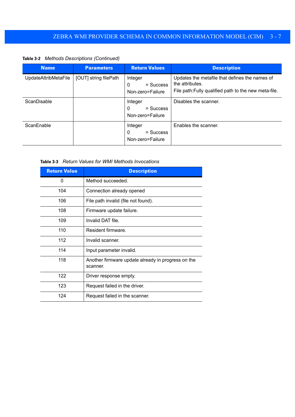**Table 3-2** *Methods Descriptions (Continued)*

<span id="page-24-2"></span><span id="page-24-0"></span>

| <b>Name</b>          | <b>Parameters</b>     | <b>Return Values</b>                            | <b>Description</b>                                                                                                         |
|----------------------|-----------------------|-------------------------------------------------|----------------------------------------------------------------------------------------------------------------------------|
| UpdateAttribMetaFile | [OUT] string filePath | Integer<br>$=$ Success<br>0<br>Non-zero=Failure | Updates the metafile that defines the names of<br>the attributes.<br>File path: Fully qualified path to the new meta-file. |
| <b>ScanDisable</b>   |                       | Integer<br>$=$ Success<br>0<br>Non-zero=Failure | Disables the scanner.                                                                                                      |
| ScanEnable           |                       | Integer<br>$=$ Success<br>0<br>Non-zero=Failure | Enables the scanner.                                                                                                       |

<span id="page-24-3"></span><span id="page-24-1"></span>

| <b>Return Value</b> | <b>Description</b>                                             |  |
|---------------------|----------------------------------------------------------------|--|
| 0                   | Method succeeded.                                              |  |
| 104                 | Connection already opened                                      |  |
| 106                 | File path invalid (file not found).                            |  |
| 108                 | Firmware update failure.                                       |  |
| 109                 | Invalid DAT file.                                              |  |
| 110                 | Resident firmware.                                             |  |
| 112                 | Invalid scanner.                                               |  |
| 114                 | Input parameter invalid.                                       |  |
| 118                 | Another firmware update already in progress on the<br>scanner. |  |
| 122                 | Driver response empty.                                         |  |
| 123                 | Request failed in the driver.                                  |  |
| 124                 | Request failed in the scanner.                                 |  |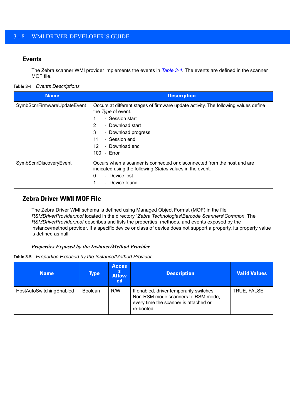#### <span id="page-25-0"></span>**Events**

<span id="page-25-6"></span>The Zebra scanner WMI provider implements the events in *[Table 3-4](#page-25-2)*. The events are defined in the scanner MOF file.

#### <span id="page-25-2"></span>**Table 3-4** *Events Descriptions*

<span id="page-25-4"></span>

| <b>Name</b>                 | <b>Description</b>                                                                                                                                                                                                                                 |
|-----------------------------|----------------------------------------------------------------------------------------------------------------------------------------------------------------------------------------------------------------------------------------------------|
| SymbScnrFirmwareUpdateEvent | Occurs at different stages of firmware update activity. The following values define<br>the Type of event.<br>- Session start<br>- Download start<br>2<br>3<br>- Download progress<br>11<br>- Session end<br>- Download end<br>12<br>100<br>- Error |
| SymbScnrDiscoveryEvent      | Occurs when a scanner is connected or disconnected from the host and are<br>indicated using the following Status values in the event.<br>- Device lost<br>0<br>- Device found                                                                      |

#### <span id="page-25-3"></span><span id="page-25-1"></span>**Zebra Driver WMI MOF File**

The Zebra Driver WMI schema is defined using Managed Object Format (MOF) in the file *RSMDriverProvider.mof* located in the directory *\Zebra Technologies\Barcode Scanners\Common*. The *RSMDriverProvider.mof* describes and lists the properties, methods, and events exposed by the instance/method provider. If a specific device or class of device does not support a property, its property value is defined as null.

#### *Properties Exposed by the Instance/Method Provider*

**Table 3-5** *Properties Exposed by the Instance/Method Provider*

<span id="page-25-5"></span>

| <b>Name</b>              | Type:          | <b>Acces</b><br><b>S</b><br><b>Allow</b><br>ed | <b>Description</b>                                                                                                                  | <b>Valid Values</b> |
|--------------------------|----------------|------------------------------------------------|-------------------------------------------------------------------------------------------------------------------------------------|---------------------|
| HostAutoSwitchingEnabled | <b>Boolean</b> | R/W                                            | If enabled, driver temporarily switches<br>Non-RSM mode scanners to RSM mode,<br>every time the scanner is attached or<br>re-booted | TRUE, FALSE         |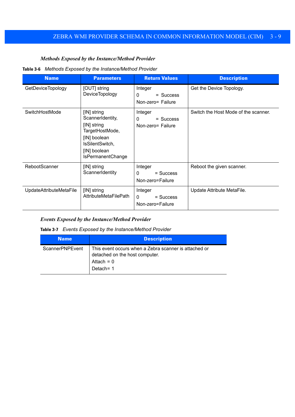#### *Methods Exposed by the Instance/Method Provider*

#### **Table 3-6** *Methods Exposed by the Instance/Method Provider*

<span id="page-26-3"></span><span id="page-26-1"></span>

| <b>Name</b>              | <b>Parameters</b>                                                                                                                                | <b>Return Values</b>                                    | <b>Description</b>                   |
|--------------------------|--------------------------------------------------------------------------------------------------------------------------------------------------|---------------------------------------------------------|--------------------------------------|
| <b>GetDeviceTopology</b> | [OUT] string<br><b>DeviceTopology</b>                                                                                                            | Integer<br>$\Omega$<br>$=$ Success<br>Non-zero= Failure | Get the Device Topology.             |
| SwitchHostMode           | [IN] string<br>ScannerIdentity,<br>[IN] string<br>TargetHostMode,<br>[IN] boolean<br>IsSilentSwitch,<br>[IN] boolean<br><b>IsPermanentChange</b> | Integer<br>$\Omega$<br>$=$ Success<br>Non-zero= Failure | Switch the Host Mode of the scanner. |
| RebootScanner            | [IN] string<br>ScannerIdentity                                                                                                                   | Integer<br>$=$ Success<br>$\Omega$<br>Non-zero=Failure  | Reboot the given scanner.            |
| UpdateAttributeMetaFile  | [IN] string<br><b>AttributeMetaFilePath</b>                                                                                                      | Integer<br>$=$ Success<br>$\Omega$<br>Non-zero=Failure  | Update Attribute MetaFile.           |

#### <span id="page-26-4"></span><span id="page-26-2"></span>*Events Exposed by the Instance/Method Provider*

**Table 3-7** *Events Exposed by the Instance/Method Provider*

<span id="page-26-0"></span>

| <b>Name</b>     | <b>Description</b>                                                                                                  |
|-----------------|---------------------------------------------------------------------------------------------------------------------|
| ScannerPNPEvent | This event occurs when a Zebra scanner is attached or<br>detached on the host computer.<br>Attach = $0$<br>Detach=1 |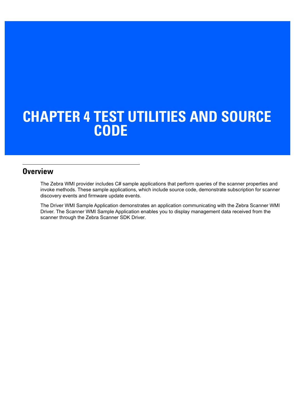## <span id="page-28-2"></span><span id="page-28-0"></span>**CHAPTER 4 TEST UTILITIES AND SOURCE CODE**

## <span id="page-28-1"></span>**Overview**

The Zebra WMI provider includes C# sample applications that perform queries of the scanner properties and invoke methods. These sample applications, which include source code, demonstrate subscription for scanner discovery events and firmware update events.

The Driver WMI Sample Application demonstrates an application communicating with the Zebra Scanner WMI Driver. The Scanner WMI Sample Application enables you to display management data received from the scanner through the Zebra Scanner SDK Driver.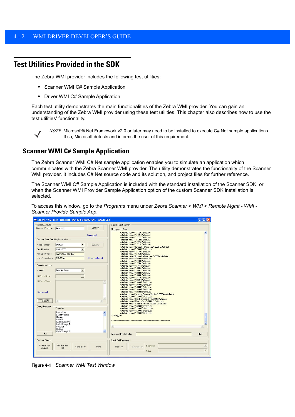## <span id="page-29-0"></span>**Test Utilities Provided in the SDK**

The Zebra WMI provider includes the following test utilities:

- <span id="page-29-2"></span>**•** Scanner WMI C# Sample Application
- **•** Driver WMI C# Sample Application.

Each test utility demonstrates the main functionalities of the Zebra WMI provider. You can gain an understanding of the Zebra WMI provider using these test utilities. This chapter also describes how to use the test utilities' functionality.



*NOTE* Microsoft®.Net Framework v2.0 or later may need to be installed to execute C#.Net sample applications. If so, Microsoft detects and informs the user of this requirement.

#### <span id="page-29-1"></span>**Scanner WMI C# Sample Application**

The Zebra Scanner WMI C#.Net sample application enables you to simulate an application which communicates with the Zebra Scanner WMI provider. The utility demonstrates the functionality of the Scanner WMI provider. It includes C#.Net source code and its solution, and project files for further reference.

The Scanner WMI C# Sample Application is included with the standard installation of the Scanner SDK, or when the Scanner WMI Provider Sample Application option of the custom Scanner SDK installation is selected.

To access this window, go to the *Programs* menu under *Zebra Scanner* > *WMI* > *Remote Mgmt - WMI - Scanner Provide Sample App*.

| Target Computer                |                            |                      | Output From Scanner                                                                                                                                                                                                                                  |          |
|--------------------------------|----------------------------|----------------------|------------------------------------------------------------------------------------------------------------------------------------------------------------------------------------------------------------------------------------------------------|----------|
| Name or IP Address   localhost |                            | Connect              | Management Data                                                                                                                                                                                                                                      |          |
|                                |                            |                      |                                                                                                                                                                                                                                                      |          |
|                                |                            | Connected            | <attribute name="">720</attribute><br><attribute name="">721</attribute>                                                                                                                                                                             |          |
|                                |                            |                      | <attribute "="" name="'&gt;722&lt;/attribute&gt;&lt;/td&gt;&lt;td&gt;&lt;/td&gt;&lt;/tr&gt;&lt;tr&gt;&lt;td&gt;Scanner Asset Tracking Information&lt;/td&gt;&lt;td&gt;&lt;/td&gt;&lt;td&gt;&lt;/td&gt;&lt;td&gt;&lt;attribute name=">723</attribute> |          |
|                                |                            |                      | <attribute name="">724</attribute>                                                                                                                                                                                                                   |          |
| Model Number                   | <b>DS4208</b>              | Discover<br>٠        | <attribute ignoreibmdirectives"="" name="'&gt;728&lt;/attribute&gt;&lt;br&gt;&lt;attribute name=">5000</attribute>                                                                                                                                   |          |
| Serial Number                  | MXA5FE83                   |                      | <attribute name="">5001</attribute>                                                                                                                                                                                                                  |          |
|                                |                            |                      | <attribute name="">730</attribute>                                                                                                                                                                                                                   |          |
| Firmware Version               | PAAA0S00-003-N02           |                      | <attribute name="">750</attribute>                                                                                                                                                                                                                   |          |
| Manufacture Date               | 02DEC10                    | 1 Scanner Found      | <attribute name="IgnoreIBMDirectives">5000</attribute><br><attribute name="">5001</attribute>                                                                                                                                                        |          |
|                                |                            |                      | <attribute name="">730</attribute>                                                                                                                                                                                                                   |          |
|                                |                            |                      | <attribute name="">750</attribute>                                                                                                                                                                                                                   |          |
| Execute Methods                |                            |                      | <attribute name="">751</attribute>                                                                                                                                                                                                                   |          |
| Method                         | GetAllAttributes           | $\blacktriangledown$ | <attribute name="">804</attribute><br><attribute name="">807</attribute>                                                                                                                                                                             |          |
|                                |                            |                      | <attribute "="" name="'&gt;808&lt;/attribute&gt;&lt;/td&gt;&lt;td&gt;&lt;/td&gt;&lt;/tr&gt;&lt;tr&gt;&lt;td&gt;IN Param Name&lt;/td&gt;&lt;td&gt;&lt;/td&gt;&lt;td&gt;&lt;/td&gt;&lt;td&gt;&lt;attribute name=">809</attribute>                      |          |
|                                |                            |                      | <attribute name="">810</attribute>                                                                                                                                                                                                                   |          |
| IN Param Value                 |                            |                      | <attribute name="">827</attribute><br><attribute name="">6000</attribute><br>×                                                                                                                                                                       |          |
|                                |                            |                      | <attribute name="">6001</attribute>                                                                                                                                                                                                                  |          |
|                                |                            |                      | <attribute name="">6002</attribute>                                                                                                                                                                                                                  |          |
|                                |                            |                      | <attribute name="">6003</attribute>                                                                                                                                                                                                                  |          |
| Succeeded                      |                            |                      | <attribute name="">6004</attribute><br><attribute name="ScannerFirmwareVersion">20004</attribute>                                                                                                                                                    |          |
|                                |                            |                      | <attribute name="">20005</attribute>                                                                                                                                                                                                                 |          |
|                                |                            |                      | <attribute name="HardwareVersion">20006</attribute>                                                                                                                                                                                                  |          |
| Execute                        | €                          |                      | <attribute name="DeviceClass">20007</attribute>                                                                                                                                                                                                      |          |
|                                |                            |                      | <attribute name="Scankit Version">20008</attribute>                                                                                                                                                                                                  |          |
| <b>Query Properties</b>        | Properties                 |                      | <attribute name="">20009</attribute><br><attribute name="">20010</attribute>                                                                                                                                                                         |          |
|                                |                            |                      | <attribute name="">20011</attribute>                                                                                                                                                                                                                 |          |
|                                | BeeperFreq<br>BeeperVolume |                      | $\hat{\phantom{a}}$<br><attribute name="">20012</attribute>                                                                                                                                                                                          |          |
|                                | Caption                    |                      |                                                                                                                                                                                                                                                      |          |
|                                | Code11                     |                      |                                                                                                                                                                                                                                                      |          |
|                                | Code11Length1              |                      |                                                                                                                                                                                                                                                      |          |
|                                | Code11Length2<br>Code128   |                      | $\langle$                                                                                                                                                                                                                                            | $\infty$ |
|                                | Code39                     |                      |                                                                                                                                                                                                                                                      |          |
|                                | Code39Lenath1              |                      | $\checkmark$                                                                                                                                                                                                                                         |          |
| Get                            |                            |                      | Firmware Update Status                                                                                                                                                                                                                               | Clear    |
|                                |                            |                      |                                                                                                                                                                                                                                                      |          |
| <b>Scanner Cloning</b>         |                            |                      | Quick Set Parameter                                                                                                                                                                                                                                  |          |
| Retrieve from                  | Retrieve from              | Push<br>Save to File | Parameter<br>Set Parameter<br>Retrieve                                                                                                                                                                                                               |          |
| <b>Scanner</b>                 | File                       |                      |                                                                                                                                                                                                                                                      |          |
|                                |                            |                      | Value                                                                                                                                                                                                                                                |          |

**Figure 4-1** *Scanner WMI Test Window*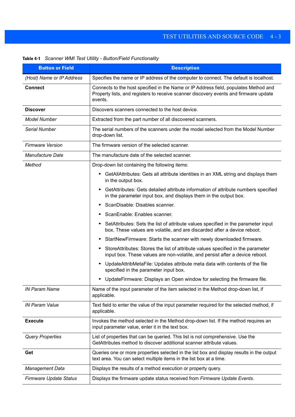| <b>Button or Field</b>    | <b>Description</b>                                                                                                                                                                       |  |  |
|---------------------------|------------------------------------------------------------------------------------------------------------------------------------------------------------------------------------------|--|--|
| (Host) Name or IP Address | Specifies the name or IP address of the computer to connect. The default is localhost.                                                                                                   |  |  |
| <b>Connect</b>            | Connects to the host specified in the Name or IP Address field, populates Method and<br>Property lists, and registers to receive scanner discovery events and firmware update<br>events. |  |  |
| <b>Discover</b>           | Discovers scanners connected to the host device.                                                                                                                                         |  |  |
| <b>Model Number</b>       | Extracted from the part number of all discovered scanners.                                                                                                                               |  |  |
| Serial Number             | The serial numbers of the scanners under the model selected from the Model Number<br>drop-down list.                                                                                     |  |  |
| <b>Firmware Version</b>   | The firmware version of the selected scanner.                                                                                                                                            |  |  |
| <b>Manufacture Date</b>   | The manufacture date of the selected scanner.                                                                                                                                            |  |  |
| Method                    | Drop-down list containing the following items:                                                                                                                                           |  |  |
|                           | GetAllAttributes: Gets all attribute identities in an XML string and displays them<br>in the output box.                                                                                 |  |  |
|                           | GetAttributes: Gets detailed attribute information of attribute numbers specified<br>in the parameter input box, and displays them in the output box.                                    |  |  |
|                           | ScanDisable: Disables scanner.                                                                                                                                                           |  |  |
|                           | ScanEnable: Enables scanner.                                                                                                                                                             |  |  |
|                           | SetAttributes: Sets the list of attribute values specified in the parameter input<br>box. These values are volatile, and are discarded after a device reboot.                            |  |  |
|                           | StartNewFirmware: Starts the scanner with newly downloaded firmware.                                                                                                                     |  |  |
|                           | StoreAttributes: Stores the list of attribute values specified in the parameter<br>input box. These values are non-volatile, and persist after a device reboot.                          |  |  |
|                           | UpdateAttribMetaFile: Updates attribute meta data with contents of the file<br>specified in the parameter input box.                                                                     |  |  |
|                           | UpdateFirmware: Displays an Open window for selecting the firmware file.                                                                                                                 |  |  |
| <b>IN Param Name</b>      | Name of the input parameter of the item selected in the Method drop-down list, if<br>applicable.                                                                                         |  |  |
| <b>IN Param Value</b>     | Text field to enter the value of the input parameter required for the selected method, if<br>applicable.                                                                                 |  |  |
| <b>Execute</b>            | Invokes the method selected in the Method drop-down list. If the method requires an<br>input parameter value, enter it in the text box.                                                  |  |  |
| <b>Query Properties</b>   | List of properties that can be queried. This list is not comprehensive. Use the<br>GetAttributes method to discover additional scanner attribute values.                                 |  |  |
| Get                       | Queries one or more properties selected in the list box and display results in the output<br>text area. You can select multiple items in the list box at a time.                         |  |  |
| <b>Management Data</b>    | Displays the results of a method execution or property query.                                                                                                                            |  |  |

*Firmware Update Status* Displays the firmware update status received from *Firmware Update Events*.

**Table 4-1** *Scanner WMI Test Utility - Button/Field Functionality*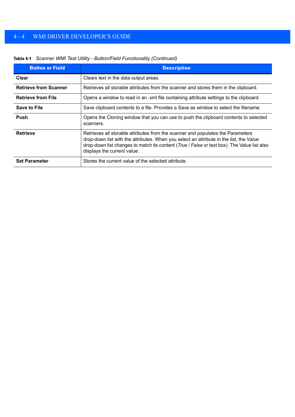| <b>Button or Field</b>       | <b>Description</b>                                                                                                                                                                                                                                                                                       |
|------------------------------|----------------------------------------------------------------------------------------------------------------------------------------------------------------------------------------------------------------------------------------------------------------------------------------------------------|
| Clear                        | Clears text in the data output areas.                                                                                                                                                                                                                                                                    |
| <b>Retrieve from Scanner</b> | Retrieves all storable attributes from the scanner and stores them in the clipboard.                                                                                                                                                                                                                     |
| <b>Retrieve from File</b>    | Opens a window to read in an .xml file containing attribute settings to the clipboard.                                                                                                                                                                                                                   |
| <b>Save to File</b>          | Save clipboard contents to a file. Provides a Save as window to select the filename.                                                                                                                                                                                                                     |
| Push                         | Opens the Cloning window that you can use to push the clipboard contents to selected<br>scanners.                                                                                                                                                                                                        |
| <b>Retrieve</b>              | Retrieves all storable attributes from the scanner and populates the Parameters<br>drop-down list with the attributes. When you select an attribute in the list, the Value<br>drop-down list changes to match its content (True / False or text box). The Value list also<br>displays the current value. |
| <b>Set Parameter</b>         | Stores the current value of the selected attribute.                                                                                                                                                                                                                                                      |

#### **Table 4-1** *Scanner WMI Test Utility - Button/Field Functionality (Continued)*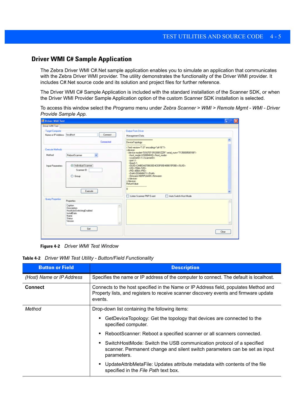#### <span id="page-32-0"></span>**Driver WMI C# Sample Application**

The Zebra Driver WMI C#.Net sample application enables you to simulate an application that communicates with the Zebra Driver WMI provider. The utility demonstrates the functionality of the Driver WMI provider. It includes C#.Net source code and its solution and project files for further reference.

The Driver WMI C# Sample Application is included with the standard installation of the Scanner SDK, or when the Driver WMI Provider Sample Application option of the custom Scanner SDK installation is selected.

To access this window select the *Programs* menu under *Zebra Scanner > WMI > Remote Mgmt - WMI - Driver Provide Sample App.*

| <b>E Driver WMI Test</b>                                                                                                                          |                                                                                                                                                                                                                                                                                                                                                                                                                                                                                                                        | $\overline{\mathbf{x}}$<br>c<br>H |
|---------------------------------------------------------------------------------------------------------------------------------------------------|------------------------------------------------------------------------------------------------------------------------------------------------------------------------------------------------------------------------------------------------------------------------------------------------------------------------------------------------------------------------------------------------------------------------------------------------------------------------------------------------------------------------|-----------------------------------|
| Driver WMI Test                                                                                                                                   |                                                                                                                                                                                                                                                                                                                                                                                                                                                                                                                        |                                   |
| - Target Computer<br>Name or IP Address   localhost<br>Connect<br>Connected                                                                       | <b>Output From Driver</b><br>Management Data<br>----------------------<br>DeviceTopology:                                                                                                                                                                                                                                                                                                                                                                                                                              | $\overline{\phantom{a}}$          |
| Execute Methods<br>$\checkmark$<br>Method<br>RebootScanner<br>@ Individual Scanner<br><b>Input Parameters</b><br>Scanner ID<br>C Group<br>Execute | <b>ARABSAS ANG ANG PANGARANG ANG PANGARA</b><br>ml version="1.0" encoding="utf-16"?><br>cdevice><br><device.model="ds6707-sr20001zzr" serial_num="7135000500188"><br/><host_mode>USBIBMHID</host_mode><br/><scanner(d>1</scanner(d><br/><port></port><br/><br/>baud /&gt;<br/><guid>C44BDA6706630D4C83F69D488615F08D</guid><br/><vid>1504</vid><br><pid>4864</pid><br/><dom>DDMMMYY</dom><br/><firmware>NBRPUAAM</firmware><br/><br/><br/>ReturnMalue:<br/><math>\Omega</math></br></device.model="ds6707-sr20001zzr"> |                                   |
| Query Properties<br>Properties<br>Caption<br>Description                                                                                          | <b>Uisten Scanner PNP Event</b><br>Auto Switch Host Mode                                                                                                                                                                                                                                                                                                                                                                                                                                                               |                                   |
| HostAutoSwitchingEnabled<br>InstallDate<br>Name<br>Status<br>Version                                                                              |                                                                                                                                                                                                                                                                                                                                                                                                                                                                                                                        |                                   |
| Get                                                                                                                                               |                                                                                                                                                                                                                                                                                                                                                                                                                                                                                                                        | Clear                             |

**Figure 4-2** *Driver WMI Test Window*

**Table 4-2** *Driver WMI Test Utility - Button/Field Functionality*

| <b>Button or Field</b>    | <b>Description</b>                                                                                                                                                                                                                                                                                                                                                                                                                                                                                                                          |  |
|---------------------------|---------------------------------------------------------------------------------------------------------------------------------------------------------------------------------------------------------------------------------------------------------------------------------------------------------------------------------------------------------------------------------------------------------------------------------------------------------------------------------------------------------------------------------------------|--|
| (Host) Name or IP Address | Specifies the name or IP address of the computer to connect. The default is localhost.                                                                                                                                                                                                                                                                                                                                                                                                                                                      |  |
| <b>Connect</b>            | Connects to the host specified in the Name or IP Address field, populates Method and<br>Property lists, and registers to receive scanner discovery events and firmware update<br>events.                                                                                                                                                                                                                                                                                                                                                    |  |
| Method                    | Drop-down list containing the following items:<br>GetDeviceTopology: Get the topology that devices are connected to the<br>specified computer.<br>RebootScanner: Reboot a specified scanner or all scanners connected.<br>$\bullet$<br>SwitchHostMode: Switch the USB communication protocol of a specified<br>scanner. Permanent change and silent switch parameters can be set as input<br>parameters.<br>UpdateAttribMetaFile: Updates attribute metadata with contents of the file<br>$\bullet$<br>specified in the File Path text box. |  |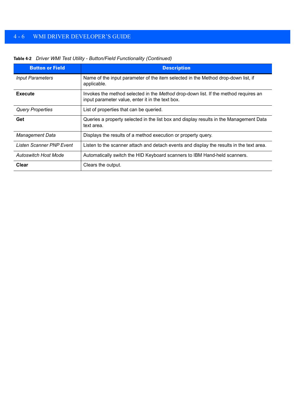| <b>Button or Field</b>   | <b>Description</b>                                                                                                                      |
|--------------------------|-----------------------------------------------------------------------------------------------------------------------------------------|
| <b>Input Parameters</b>  | Name of the input parameter of the item selected in the Method drop-down list, if<br>applicable.                                        |
| <b>Execute</b>           | Invokes the method selected in the Method drop-down list. If the method requires an<br>input parameter value, enter it in the text box. |
| <b>Query Properties</b>  | List of properties that can be queried.                                                                                                 |
| Get                      | Queries a property selected in the list box and display results in the Management Data<br>text area.                                    |
| <b>Management Data</b>   | Displays the results of a method execution or property query.                                                                           |
| Listen Scanner PNP Event | Listen to the scanner attach and detach events and display the results in the text area.                                                |
| Autoswitch Host Mode     | Automatically switch the HID Keyboard scanners to IBM Hand-held scanners.                                                               |
| Clear                    | Clears the output.                                                                                                                      |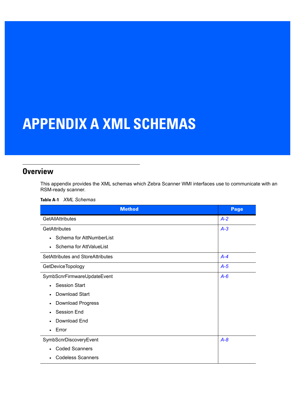# <span id="page-34-2"></span><span id="page-34-0"></span>**APPENDIX A XML SCHEMAS**

## <span id="page-34-1"></span>**Overview**

This appendix provides the XML schemas which Zebra Scanner WMI interfaces use to communicate with an RSM-ready scanner.

| <b>XML Schemas</b><br>Table A-1 |
|---------------------------------|
|---------------------------------|

| <b>Method</b>                         | <b>Page</b> |
|---------------------------------------|-------------|
| <b>GetAllAttributes</b>               | $A - 2$     |
| <b>GetAttributes</b>                  | $A-3$       |
| Schema for AttNumberList<br>$\bullet$ |             |
| Schema for AttValueList<br>$\bullet$  |             |
| SetAttributes and StoreAttributes     | $A-4$       |
| GetDeviceTopology                     | $A-5$       |
| SymbScnrFirmwareUpdateEvent           | $A - 6$     |
| <b>Session Start</b><br>$\bullet$     |             |
| <b>Download Start</b><br>$\bullet$    |             |
| <b>Download Progress</b><br>$\bullet$ |             |
| Session End<br>$\bullet$              |             |
| Download End<br>$\bullet$             |             |
| Error<br>$\bullet$                    |             |
| SymbScnrDiscoveryEvent                | $A-8$       |
| <b>Coded Scanners</b><br>$\bullet$    |             |
| <b>Codeless Scanners</b><br>$\bullet$ |             |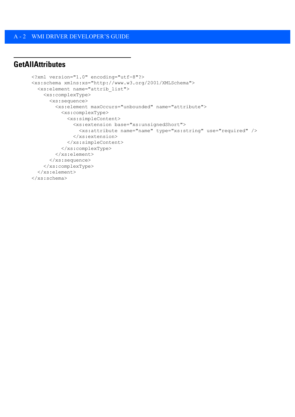## <span id="page-35-1"></span><span id="page-35-0"></span>**GetAllAttributes**

```
<?xml version="1.0" encoding="utf-8"?>
<xs:schema xmlns:xs="http://www.w3.org/2001/XMLSchema">
   <xs:element name="attrib_list">
     <xs:complexType>
       <xs:sequence>
         <xs:element maxOccurs="unbounded" name="attribute">
           <xs:complexType>
             <xs:simpleContent>
               <xs:extension base="xs:unsignedShort">
                 <xs:attribute name="name" type="xs:string" use="required" />
               </xs:extension>
             </xs:simpleContent>
           </xs:complexType>
         </xs:element>
       </xs:sequence>
     </xs:complexType>
   </xs:element>
</xs:schema>
```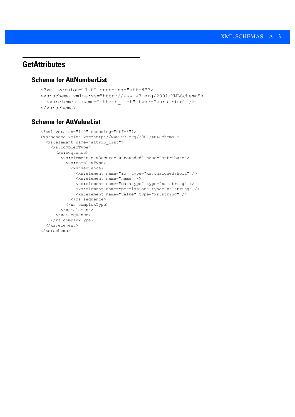## <span id="page-36-3"></span><span id="page-36-0"></span>**GetAttributes**

#### <span id="page-36-1"></span>**Schema for AttNumberList**

```
<?xml version="1.0" encoding="utf-8"?>
<xs:schema xmlns:xs="http://www.w3.org/2001/XMLSchema">
   <xs:element name="attrib_list" type="xs:string" />
</xs:schema>
```
### <span id="page-36-2"></span>**Schema for AttValueList**

```
<?xml version="1.0" encoding="utf-8"?>
<xs:schema xmlns:xs="http://www.w3.org/2001/XMLSchema">
  <xs:element name="attrib_list">
    <xs:complexType>
      <xs:sequence>
         <xs:element maxOccurs="unbounded" name="attribute">
           <xs:complexType>
             <xs:sequence>
               <xs:element name="id" type="xs:unsignedShort" />
               <xs:element name="name" />
               <xs:element name="datatype" type="xs:string" />
               <xs:element name="permission" type="xs:string" />
               <xs:element name="value" type="xs:string" />
             </xs:sequence>
           </xs:complexType>
         </xs:element>
      </xs:sequence>
    </xs:complexType>
  </xs:element>
</xs:schema>
```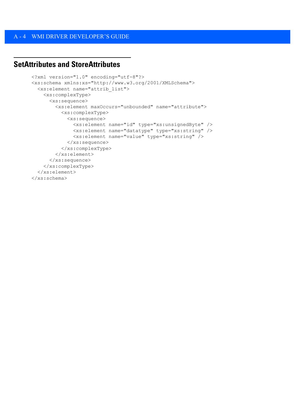## <span id="page-37-1"></span><span id="page-37-0"></span>**SetAttributes and StoreAttributes**

```
<?xml version="1.0" encoding="utf-8"?>
<xs:schema xmlns:xs="http://www.w3.org/2001/XMLSchema">
   <xs:element name="attrib_list">
     <xs:complexType>
       <xs:sequence>
         <xs:element maxOccurs="unbounded" name="attribute">
           <xs:complexType>
             <xs:sequence>
               <xs:element name="id" type="xs:unsignedByte" />
               <xs:element name="datatype" type="xs:string" />
               <xs:element name="value" type="xs:string" />
             </xs:sequence>
           </xs:complexType>
         </xs:element>
       </xs:sequence>
     </xs:complexType>
   </xs:element>
</xs:schema>
```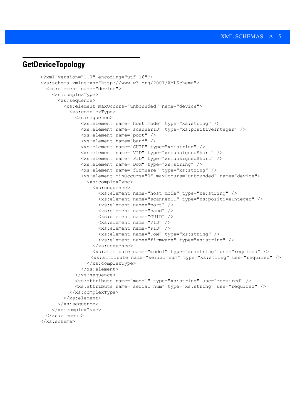## <span id="page-38-0"></span>**GetDeviceTopology**

```
<?xml version="1.0" encoding="utf-16"?>
<xs:schema xmlns:xs="http://www.w3.org/2001/XMLSchema">
   <xs:element name="device">
     <xs:complexType>
       <xs:sequence>
         <xs:element maxOccurs="unbounded" name="device">
           <xs:complexType>
             <xs:sequence>
               <xs:element name="host_mode" type="xs:string" />
               <xs:element name="scannerID" type="xs:positiveInteger" />
               <xs:element name="port" />
               <xs:element name="baud" />
               <xs:element name="GUID" type="xs:string" />
               <xs:element name="VID" type="xs:unsignedShort" />
               <xs:element name="PID" type="xs:unsignedShort" />
               <xs:element name="DoM" type="xs:string" />
               <xs:element name="firmware" type="xs:string" />
               <xs:element minOccurs="0" maxOccurs="unbounded" name="device">
                 <xs:complexType>
                   <xs:sequence>
                     <xs:element name="host_mode" type="xs:string" />
                     <xs:element name="scannerID" type="xs:positiveInteger" />
                     <xs:element name="port" />
                     <xs:element name="baud" />
                     <xs:element name="GUID" />
                     <xs:element name="VID" />
                     <xs:element name="PID" />
                     <xs:element name="DoM" type="xs:string" />
                     <xs:element name="firmware" type="xs:string" />
                   </xs:sequence>
                   <xs:attribute name="model" type="xs:string" use="required" />
                   <xs:attribute name="serial_num" type="xs:string" use="required" />
                 </xs:complexType>
               </xs:element>
            \langle xs:sequence \rangle <xs:attribute name="model" type="xs:string" use="required" />
             <xs:attribute name="serial_num" type="xs:string" use="required" />
           </xs:complexType>
         </xs:element>
       </xs:sequence>
     </xs:complexType>
   </xs:element>
</xs:schema>
```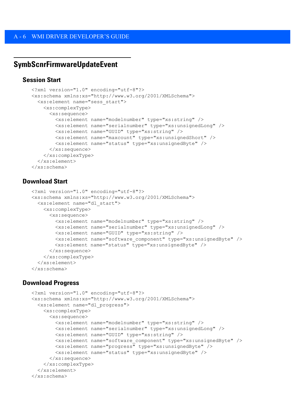## <span id="page-39-0"></span>**SymbScnrFirmwareUpdateEvent**

#### <span id="page-39-1"></span>**Session Start**

```
<?xml version="1.0" encoding="utf-8"?>
<xs:schema xmlns:xs="http://www.w3.org/2001/XMLSchema">
   <xs:element name="sess_start">
     <xs:complexType>
       <xs:sequence>
         <xs:element name="modelnumber" type="xs:string" />
         <xs:element name="serialnumber" type="xs:unsignedLong" />
         <xs:element name="GUID" type="xs:string" />
         <xs:element name="maxcount" type="xs:unsignedShort" />
         <xs:element name="status" type="xs:unsignedByte" />
      \langle xs:sequence \rangle </xs:complexType>
   </xs:element>
</xs:schema>
```
#### <span id="page-39-2"></span>**Download Start**

```
<?xml version="1.0" encoding="utf-8"?>
<xs:schema xmlns:xs="http://www.w3.org/2001/XMLSchema">
  <xs:element name="dl_start">
     <xs:complexType>
       <xs:sequence>
         <xs:element name="modelnumber" type="xs:string" />
         <xs:element name="serialnumber" type="xs:unsignedLong" />
         <xs:element name="GUID" type="xs:string" />
         <xs:element name="software_component" type="xs:unsignedByte" />
        <xs:element name="status" type="xs:unsignedByte" />
       </xs:sequence>
     </xs:complexType>
  </xs:element>
</xs:schema>
```
#### <span id="page-39-3"></span>**Download Progress**

```
<?xml version="1.0" encoding="utf-8"?>
<xs:schema xmlns:xs="http://www.w3.org/2001/XMLSchema">
  <xs:element name="dl_progress">
     <xs:complexType>
       <xs:sequence>
         <xs:element name="modelnumber" type="xs:string" />
         <xs:element name="serialnumber" type="xs:unsignedLong" />
         <xs:element name="GUID" type="xs:string" />
         <xs:element name="software_component" type="xs:unsignedByte" />
         <xs:element name="progress" type="xs:unsignedByte" />
         <xs:element name="status" type="xs:unsignedByte" />
       </xs:sequence>
     </xs:complexType>
  </xs:element>
</xs:schema>
```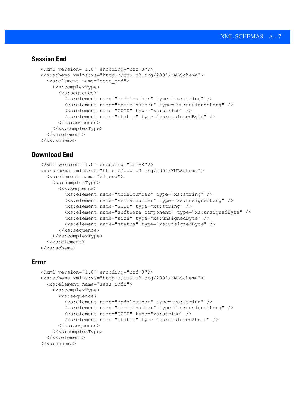#### <span id="page-40-0"></span>**Session End**

```
<?xml version="1.0" encoding="utf-8"?>
<xs:schema xmlns:xs="http://www.w3.org/2001/XMLSchema">
   <xs:element name="sess_end">
     <xs:complexType>
       <xs:sequence>
         <xs:element name="modelnumber" type="xs:string" />
         <xs:element name="serialnumber" type="xs:unsignedLong" />
         <xs:element name="GUID" type="xs:string" />
         <xs:element name="status" type="xs:unsignedByte" />
      \langle xs:sequence \rangle </xs:complexType>
   </xs:element>
</xs:schema>
```
#### <span id="page-40-1"></span>**Download End**

```
<?xml version="1.0" encoding="utf-8"?>
<xs:schema xmlns:xs="http://www.w3.org/2001/XMLSchema">
   <xs:element name="dl_end">
     <xs:complexType>
       <xs:sequence>
         <xs:element name="modelnumber" type="xs:string" />
         <xs:element name="serialnumber" type="xs:unsignedLong" />
         <xs:element name="GUID" type="xs:string" />
         <xs:element name="software_component" type="xs:unsignedByte" />
         <xs:element name="size" type="xs:unsignedByte" />
         <xs:element name="status" type="xs:unsignedByte" />
       </xs:sequence>
     </xs:complexType>
   </xs:element>
</xs:schema>
```
#### <span id="page-40-2"></span>**Error**

```
<?xml version="1.0" encoding="utf-8"?>
<xs:schema xmlns:xs="http://www.w3.org/2001/XMLSchema">
   <xs:element name="sess_info">
     <xs:complexType>
       <xs:sequence>
         <xs:element name="modelnumber" type="xs:string" />
         <xs:element name="serialnumber" type="xs:unsignedLong" />
         <xs:element name="GUID" type="xs:string" />
         <xs:element name="status" type="xs:unsignedShort" />
       </xs:sequence>
     </xs:complexType>
   </xs:element>
</xs:schema>
```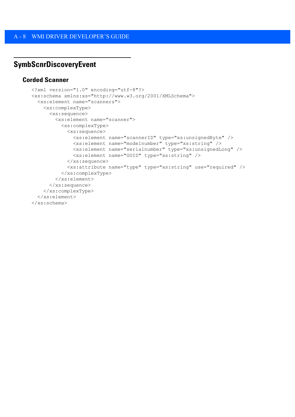## <span id="page-41-0"></span>**SymbScnrDiscoveryEvent**

#### <span id="page-41-1"></span>**Corded Scanner**

```
<?xml version="1.0" encoding="utf-8"?>
<xs:schema xmlns:xs="http://www.w3.org/2001/XMLSchema">
   <xs:element name="scanners">
     <xs:complexType>
       <xs:sequence>
         <xs:element name="scanner">
           <xs:complexType>
             <xs:sequence>
               <xs:element name="scannerID" type="xs:unsignedByte" />
               <xs:element name="modelnumber" type="xs:string" />
               <xs:element name="serialnumber" type="xs:unsignedLong" />
               <xs:element name="GUID" type="xs:string" />
             </xs:sequence>
             <xs:attribute name="type" type="xs:string" use="required" />
           </xs:complexType>
         </xs:element>
       </xs:sequence>
     </xs:complexType>
   </xs:element>
</xs:schema>
```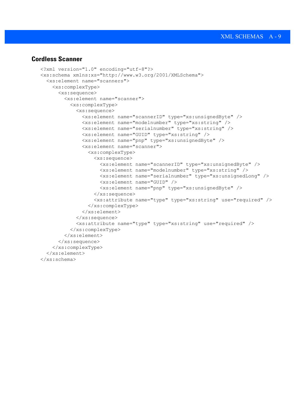#### <span id="page-42-0"></span>**Cordless Scanner**

```
<?xml version="1.0" encoding="utf-8"?>
<xs:schema xmlns:xs="http://www.w3.org/2001/XMLSchema">
   <xs:element name="scanners">
     <xs:complexType>
       <xs:sequence>
         <xs:element name="scanner">
           <xs:complexType>
             <xs:sequence>
               <xs:element name="scannerID" type="xs:unsignedByte" />
               <xs:element name="modelnumber" type="xs:string" />
               <xs:element name="serialnumber" type="xs:string" />
               <xs:element name="GUID" type="xs:string" />
               <xs:element name="pnp" type="xs:unsignedByte" />
               <xs:element name="scanner">
                 <xs:complexType>
                    <xs:sequence>
                      <xs:element name="scannerID" type="xs:unsignedByte" />
                      <xs:element name="modelnumber" type="xs:string" />
                      <xs:element name="serialnumber" type="xs:unsignedLong" />
                      <xs:element name="GUID" />
                      <xs:element name="pnp" type="xs:unsignedByte" />
                   \langle xs:sequence \rangle <xs:attribute name="type" type="xs:string" use="required" />
                 </xs:complexType>
               </xs:element>
             </xs:sequence>
             <xs:attribute name="type" type="xs:string" use="required" />
           </xs:complexType>
         </xs:element>
       </xs:sequence>
     </xs:complexType>
   </xs:element>
\langle x s:schema>
```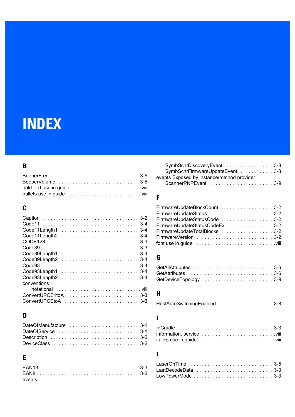# <span id="page-44-0"></span>**INDEX**

## **B**

## **C**

| Code11Length2  3-4   |       |
|----------------------|-------|
|                      |       |
|                      |       |
|                      |       |
|                      |       |
|                      | $3-4$ |
| Code93Length1        |       |
|                      |       |
| conventions          |       |
|                      |       |
| ConvertUPCE1toA  3-3 |       |
| ConvertUPCEtoA  3-3  |       |
|                      |       |

## **D**

## **E**

| events |  |
|--------|--|

| SymbScnrDiscoveryEvent 3-8                 |  |
|--------------------------------------------|--|
| SymbScnrFirmwareUpdateEvent 3-8            |  |
| events Exposed by instance/method provider |  |
|                                            |  |

## **F**

| FirmwareUpdateBlockCount 3-2   |  |
|--------------------------------|--|
| FirmwareUpdateStatus 3-2       |  |
| FirmwareUpdateStatusCode 3-2   |  |
| FirmwareUpdateStatusCodeEx 3-2 |  |
| FirmwareUpdateTotalBlocks 3-2  |  |
| FirmwareVersion 3-2            |  |
|                                |  |

## **G**

| GetAllAttributes 3-6  |  |  |  |  |  |  |  |  |  |  |  |  |  |
|-----------------------|--|--|--|--|--|--|--|--|--|--|--|--|--|
|                       |  |  |  |  |  |  |  |  |  |  |  |  |  |
| GetDeviceTopology 3-9 |  |  |  |  |  |  |  |  |  |  |  |  |  |

## **H**

|  | HostAutoSwitchingEnabled 3-8 |
|--|------------------------------|
|--|------------------------------|

## **I**

## **L**

| LowPowerMode 3-3 |
|------------------|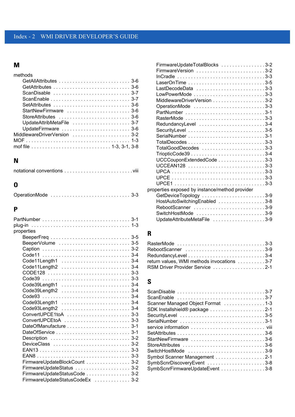### **M**

| methods                                                                            |
|------------------------------------------------------------------------------------|
|                                                                                    |
|                                                                                    |
| ScanDisable $\ldots \ldots \ldots \ldots \ldots \ldots \ldots \ldots \ldots 3-7$   |
| ScanEnable $\ldots \ldots \ldots \ldots \ldots \ldots \ldots \ldots \ldots 3-7$    |
| SetAttributes $\ldots \ldots \ldots \ldots \ldots \ldots \ldots \ldots \ldots 3-6$ |
| StartNewFirmware  3-6                                                              |
| StoreAttributes $\ldots \ldots \ldots \ldots \ldots \ldots \ldots \ldots 3-6$      |
| UpdateAttribMetaFile 3-7                                                           |
| UpdateFirmware  3-6                                                                |
|                                                                                    |
|                                                                                    |
|                                                                                    |

## **N**

## **O**

| OperationMode  3-3 |  |  |  |  |  |  |  |  |  |  |  |  |  |  |  |  |  |  |  |  |  |  |  |  |  |  |  |  |  |  |
|--------------------|--|--|--|--|--|--|--|--|--|--|--|--|--|--|--|--|--|--|--|--|--|--|--|--|--|--|--|--|--|--|
|--------------------|--|--|--|--|--|--|--|--|--|--|--|--|--|--|--|--|--|--|--|--|--|--|--|--|--|--|--|--|--|--|

## **P**

| properties                     |  |
|--------------------------------|--|
|                                |  |
| BeeperVolume  3-5              |  |
|                                |  |
|                                |  |
| Code11Length1  3-4             |  |
| Code11Length2 3-4              |  |
|                                |  |
| Code39  3-3                    |  |
| Code39Length1  3-4             |  |
| Code39Length2 3-4              |  |
|                                |  |
| Code93Length1  3-4             |  |
| Code93Length2 3-4              |  |
| ConvertUPCE1toA 3-3            |  |
| ConvertUPCEtoA 3-3             |  |
| DateOfManufacture 3-1          |  |
|                                |  |
| Description  3-2               |  |
| DeviceClass  3-2               |  |
|                                |  |
|                                |  |
| FirmwareUpdateBlockCount  3-2  |  |
| FirmwareUpdateStatus  3-2      |  |
| FirmwareUpdateStatusCode 3-2   |  |
| FirmwareUpdateStatusCodeEx 3-2 |  |

| FirmwareUpdateTotalBlocks 3-2                  |  |
|------------------------------------------------|--|
|                                                |  |
|                                                |  |
|                                                |  |
| LastDecodeData 3-3                             |  |
|                                                |  |
| MiddlewareDriverVersion 3-2                    |  |
| OperationMode 3-3                              |  |
|                                                |  |
| RasterMode 3-3                                 |  |
| RedundancyLevel 3-4                            |  |
|                                                |  |
|                                                |  |
|                                                |  |
| TotalGoodDecodes 3-3                           |  |
|                                                |  |
| UCCCouponExtendedCode 3-3                      |  |
|                                                |  |
|                                                |  |
|                                                |  |
|                                                |  |
| properties exposed by instance/method provider |  |
| GetDeviceTopology 3-9                          |  |
| HostAutoSwitchingEnabled 3-8                   |  |
| RebootScanner 3-9                              |  |
| SwitchHostMode 3-9                             |  |
| UpdateAttributeMetaFile 3-9                    |  |
|                                                |  |

## **R**

| RasterMode 3-3                             |  |
|--------------------------------------------|--|
| RebootScanner 3-9                          |  |
|                                            |  |
| return values, WMI methods invocations 3-7 |  |
| RSM Driver Provider Service 2-1            |  |

#### **S**

| ScanDisable 3-7<br>ScanEnable 3-7 |
|-----------------------------------|
| Scanner Managed Object Format 1-3 |
|                                   |
|                                   |
|                                   |
|                                   |
|                                   |
| StartNewFirmware 3-6              |
|                                   |
| SwitchHostMode 3-9                |
| Symbol Scanner Management 2-1     |
| SymbScnrDiscoveryEvent 3-8        |
| SymbScnrFirmwareUpdateEvent 3-8   |
|                                   |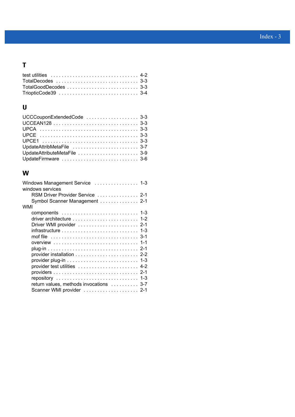## **T**

| TotalGoodDecodes  3-3 |  |
|-----------------------|--|
|                       |  |

## **U**

| UCCCouponExtendedCode  3-3   |  |
|------------------------------|--|
|                              |  |
|                              |  |
|                              |  |
|                              |  |
| UpdateAttribMetaFile  3-7    |  |
| UpdateAttributeMetaFile  3-9 |  |
| UpdateFirmware  3-6          |  |

## **W**

| Windows Management Service  1-3<br>windows services                               |  |
|-----------------------------------------------------------------------------------|--|
| RSM Driver Provider Service  2-1                                                  |  |
|                                                                                   |  |
| Symbol Scanner Management  2-1                                                    |  |
| WMI                                                                               |  |
|                                                                                   |  |
| driver architecture $\ldots \ldots \ldots \ldots \ldots \ldots \ldots \ldots$ 1-2 |  |
|                                                                                   |  |
|                                                                                   |  |
|                                                                                   |  |
| overview  1-1                                                                     |  |
|                                                                                   |  |
|                                                                                   |  |
| -1-3                                                                              |  |
| provider test utilities  4-2                                                      |  |
|                                                                                   |  |
|                                                                                   |  |
| return values, methods invocations  3-7                                           |  |
| Scanner WMI provider  2-1                                                         |  |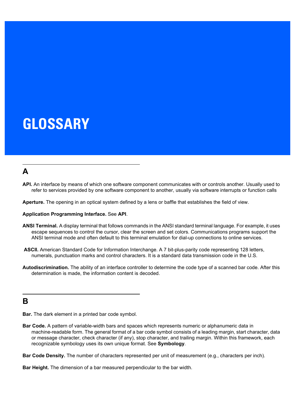# <span id="page-48-0"></span>**GLOSSARY**

## **A**

**API.** An interface by means of which one software component communicates with or controls another. Usually used to refer to services provided by one software component to another, usually via software interrupts or function calls

**Aperture.** The opening in an optical system defined by a lens or baffle that establishes the field of view.

#### **Application Programming Interface.** See **API**.

- **ANSI Terminal.** A display terminal that follows commands in the ANSI standard terminal language. For example, it uses escape sequences to control the cursor, clear the screen and set colors. Communications programs support the ANSI terminal mode and often default to this terminal emulation for dial-up connections to online services.
- **ASCII.** American Standard Code for Information Interchange. A 7 bit-plus-parity code representing 128 letters, numerals, punctuation marks and control characters. It is a standard data transmission code in the U.S.
- **Autodiscrimination.** The ability of an interface controller to determine the code type of a scanned bar code. After this determination is made, the information content is decoded.

#### **B**

**Bar.** The dark element in a printed bar code symbol.

**Bar Code.** A pattern of variable-width bars and spaces which represents numeric or alphanumeric data in machine-readable form. The general format of a bar code symbol consists of a leading margin, start character, data or message character, check character (if any), stop character, and trailing margin. Within this framework, each recognizable symbology uses its own unique format. See **Symbology**.

**Bar Code Density.** The number of characters represented per unit of measurement (e.g., characters per inch).

**Bar Height.** The dimension of a bar measured perpendicular to the bar width.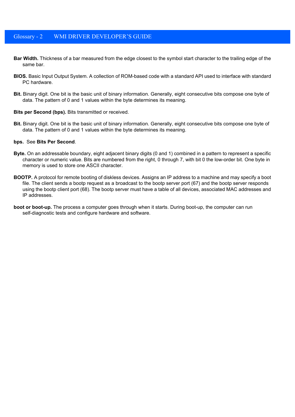#### Glossary - 2 WMI DRIVER DEVELOPER'S GUIDE

- **Bar Width.** Thickness of a bar measured from the edge closest to the symbol start character to the trailing edge of the same bar.
- **BIOS.** Basic Input Output System. A collection of ROM-based code with a standard API used to interface with standard PC hardware.
- **Bit.** Binary digit. One bit is the basic unit of binary information. Generally, eight consecutive bits compose one byte of data. The pattern of 0 and 1 values within the byte determines its meaning.

#### **Bits per Second (bps).** Bits transmitted or received.

**Bit.** Binary digit. One bit is the basic unit of binary information. Generally, eight consecutive bits compose one byte of data. The pattern of 0 and 1 values within the byte determines its meaning.

#### **bps.** See **Bits Per Second**.

- **Byte.** On an addressable boundary, eight adjacent binary digits (0 and 1) combined in a pattern to represent a specific character or numeric value. Bits are numbered from the right, 0 through 7, with bit 0 the low-order bit. One byte in memory is used to store one ASCII character.
- **BOOTP.** A protocol for remote booting of diskless devices. Assigns an IP address to a machine and may specify a boot file. The client sends a bootp request as a broadcast to the bootp server port (67) and the bootp server responds using the bootp client port (68). The bootp server must have a table of all devices, associated MAC addresses and IP addresses.
- **boot or boot-up.** The process a computer goes through when it starts. During boot-up, the computer can run self-diagnostic tests and configure hardware and software.